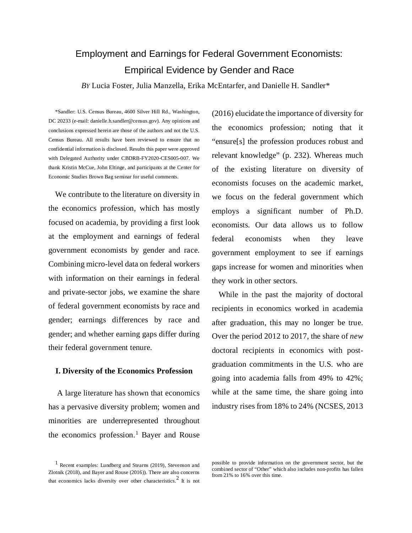# Employment and Earnings for Federal Government Economists: Empirical Evidence by Gender and Race

*BY* Lucia Foster, Julia Manzella, Erika McEntarfer, and Danielle H. Sandler\*

\*Sandler: U.S. Census Bureau, 4600 Silver Hill Rd., Washington, DC 20233 (e-mail: danielle.h.sandler@census.gov). Any opinions and conclusions expressed herein are those of the authors and not the U.S. Census Bureau. All results have been reviewed to ensure that no confidential information is disclosed. Results this paper were approved with Delegated Authority under CBDRB-FY2020-CES005-007. We thank Kristin McCue, John Eltinge, and participants at the Center for Economic Studies Brown Bag seminar for useful comments.

We contribute to the literature on diversity in the economics profession, which has mostly focused on academia, by providing a first look at the employment and earnings of federal government economists by gender and race. Combining micro-level data on federal workers with information on their earnings in federal and private-sector jobs, we examine the share of federal government economists by race and gender; earnings differences by race and gender; and whether earning gaps differ during their federal government tenure.

#### **I. Diversity of the Economics Profession**

A large literature has shown that economics has a pervasive diversity problem; women and minorities are underrepresented throughout the economics profession. [1](#page-0-0) Bayer and Rouse (2016) elucidate the importance of diversity for the economics profession; noting that it "ensure[s] the profession produces robust and relevant knowledge" (p. 232). Whereas much of the existing literature on diversity of economists focuses on the academic market, we focus on the federal government which employs a significant number of Ph.D. economists. Our data allows us to follow federal economists when they leave government employment to see if earnings gaps increase for women and minorities when they work in other sectors.

While in the past the majority of doctoral recipients in economics worked in academia after graduation, this may no longer be true. Over the period 2012 to 2017, the share of *new* doctoral recipients in economics with postgraduation commitments in the U.S. who are going into academia falls from 49% to 42%; while at the same time, the share going into industry rises from 18% to 24% (NCSES, 2013

<span id="page-0-0"></span><sup>1</sup> Recent examples: Lundberg and Stearns (2019), Stevenson and Zlotnik (2018), and Bayer and Rouse (2016)). There are also concerns that economics lacks diversity over other characteristics.<sup>2</sup> It is not

possible to provide information on the government sector, but the combined sector of "Other" which also includes non-profits has fallen from 21% to 16% over this time.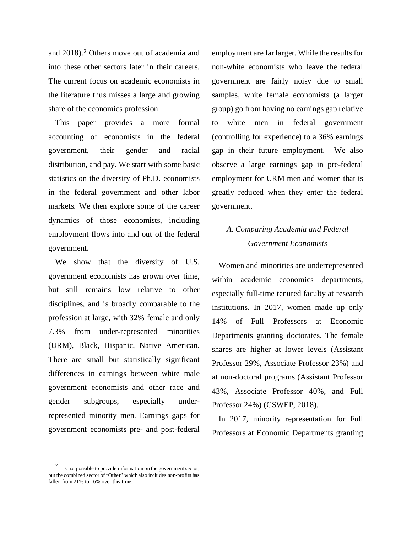and [2](#page-0-0)018).<sup>2</sup> Others move out of academia and into these other sectors later in their careers. The current focus on academic economists in the literature thus misses a large and growing share of the economics profession.

This paper provides a more formal accounting of economists in the federal government, their gender and racial distribution, and pay. We start with some basic statistics on the diversity of Ph.D. economists in the federal government and other labor markets. We then explore some of the career dynamics of those economists, including employment flows into and out of the federal government.

We show that the diversity of U.S. government economists has grown over time, but still remains low relative to other disciplines, and is broadly comparable to the profession at large, with 32% female and only 7.3% from under-represented minorities (URM), Black, Hispanic, Native American. There are small but statistically significant differences in earnings between white male government economists and other race and gender subgroups, especially underrepresented minority men. Earnings gaps for government economists pre- and post-federal employment are far larger. While the results for non-white economists who leave the federal government are fairly noisy due to small samples, white female economists (a larger group) go from having no earnings gap relative to white men in federal government (controlling for experience) to a 36% earnings gap in their future employment. We also observe a large earnings gap in pre-federal employment for URM men and women that is greatly reduced when they enter the federal government.

## *A. Comparing Academia and Federal Government Economists*

Women and minorities are underrepresented within academic economics departments, especially full-time tenured faculty at research institutions. In 2017, women made up only 14% of Full Professors at Economic Departments granting doctorates. The female shares are higher at lower levels (Assistant Professor 29%, Associate Professor 23%) and at non-doctoral programs (Assistant Professor 43%, Associate Professor 40%, and Full Professor 24%) (CSWEP, 2018).

In 2017, minority representation for Full Professors at Economic Departments granting

 $2$  It is not possible to provide information on the government sector, but the combined sector of "Other" which also includes non-profits has fallen from 21% to 16% over this time.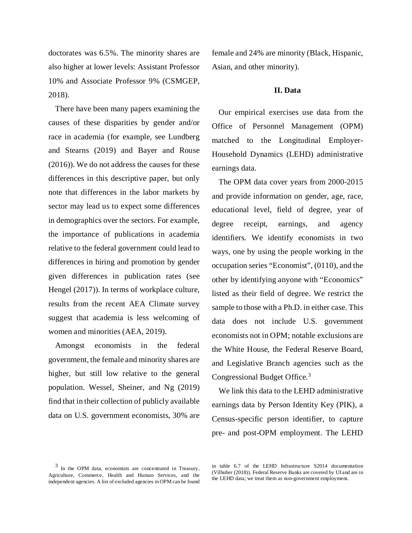doctorates was 6.5%. The minority shares are also higher at lower levels: Assistant Professor 10% and Associate Professor 9% (CSMGEP, 2018).

There have been many papers examining the causes of these disparities by gender and/or race in academia (for example, see Lundberg and Stearns (2019) and Bayer and Rouse (2016)). We do not address the causes for these differences in this descriptive paper, but only note that differences in the labor markets by sector may lead us to expect some differences in demographics over the sectors. For example, the importance of publications in academia relative to the federal government could lead to differences in hiring and promotion by gender given differences in publication rates (see Hengel (2017)). In terms of workplace culture, results from the recent AEA Climate survey suggest that academia is less welcoming of women and minorities (AEA, 2019).

Amongst economists in the federal government, the female and minority shares are higher, but still low relative to the general population. Wessel, Sheiner, and Ng (2019) find that in their collection of publicly available data on U.S. government economists, 30% are

female and 24% are minority (Black, Hispanic, Asian, and other minority).

#### **II. Data**

Our empirical exercises use data from the Office of Personnel Management (OPM) matched to the Longitudinal Employer-Household Dynamics (LEHD) administrative earnings data.

The OPM data cover years from 2000-2015 and provide information on gender, age, race, educational level, field of degree, year of degree receipt, earnings, and agency identifiers. We identify economists in two ways, one by using the people working in the occupation series "Economist", (0110), and the other by identifying anyone with "Economics" listed as their field of degree. We restrict the sample to those with a Ph.D. in either case. This data does not include U.S. government economists not in OPM; notable exclusions are the White House, the Federal Reserve Board, and Legislative Branch agencies such as the Congressional Budget Office. [3](#page-2-0)

We link this data to the LEHD administrative earnings data by Person Identity Key (PIK), a Census-specific person identifier, to capture pre- and post-OPM employment. The LEHD

<span id="page-2-0"></span> $3$  In the OPM data, economists are concentrated in Treasury, Agriculture, Commerce, Health and Human Services, and the independent agencies. A list of excluded agencies in OPM can be found

in table 6.7 of the LEHD Infrastructure S2014 documentation (Vilhuber (2018)). Federal Reserve Banks are covered by UI and are in the LEHD data; we treat them as non-government employment.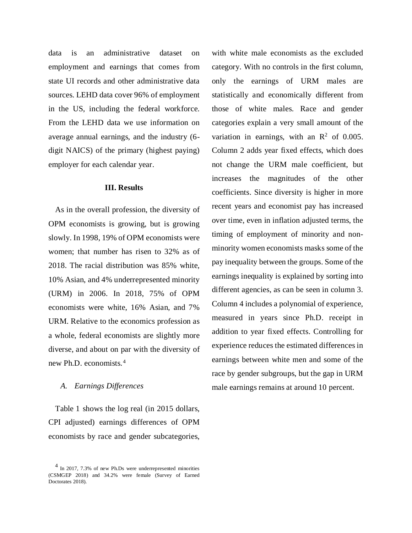data is an administrative dataset on employment and earnings that comes from state UI records and other administrative data sources. LEHD data cover 96% of employment in the US, including the federal workforce. From the LEHD data we use information on average annual earnings, and the industry (6 digit NAICS) of the primary (highest paying) employer for each calendar year.

#### **III. Results**

As in the overall profession, the diversity of OPM economists is growing, but is growing slowly. In 1998, 19% of OPM economists were women; that number has risen to 32% as of 2018. The racial distribution was 85% white, 10% Asian, and 4% underrepresented minority (URM) in 2006. In 2018, 75% of OPM economists were white, 16% Asian, and 7% URM. Relative to the economics profession as a whole, federal economists are slightly more diverse, and about on par with the diversity of new Ph.D. economists. [4](#page-3-0)

### *A. Earnings Differences*

Table 1 shows the log real (in 2015 dollars, CPI adjusted) earnings differences of OPM economists by race and gender subcategories,

with white male economists as the excluded category. With no controls in the first column, only the earnings of URM males are statistically and economically different from those of white males. Race and gender categories explain a very small amount of the variation in earnings, with an  $\mathbb{R}^2$  of 0.005. Column 2 adds year fixed effects, which does not change the URM male coefficient, but increases the magnitudes of the other coefficients. Since diversity is higher in more recent years and economist pay has increased over time, even in inflation adjusted terms, the timing of employment of minority and nonminority women economists masks some of the pay inequality between the groups. Some of the earnings inequality is explained by sorting into different agencies, as can be seen in column 3. Column 4 includes a polynomial of experience, measured in years since Ph.D. receipt in addition to year fixed effects. Controlling for experience reduces the estimated differences in earnings between white men and some of the race by gender subgroups, but the gap in URM male earnings remains at around 10 percent.

<span id="page-3-0"></span><sup>&</sup>lt;sup>4</sup> In 2017, 7.3% of new Ph.Ds were underrepresented minorities (CSMGEP 2018) and 34.2% were female (Survey of Earned Doctorates 2018).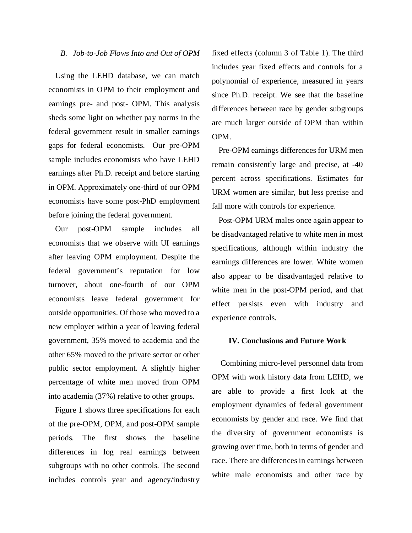#### *B. Job-to-Job Flows Into and Out of OPM*

Using the LEHD database, we can match economists in OPM to their employment and earnings pre- and post- OPM. This analysis sheds some light on whether pay norms in the federal government result in smaller earnings gaps for federal economists. Our pre-OPM sample includes economists who have LEHD earnings after Ph.D. receipt and before starting in OPM. Approximately one-third of our OPM economists have some post-PhD employment before joining the federal government.

Our post-OPM sample includes all economists that we observe with UI earnings after leaving OPM employment. Despite the federal government's reputation for low turnover, about one-fourth of our OPM economists leave federal government for outside opportunities. Of those who moved to a new employer within a year of leaving federal government, 35% moved to academia and the other 65% moved to the private sector or other public sector employment. A slightly higher percentage of white men moved from OPM into academia (37%) relative to other groups.

Figure 1 shows three specifications for each of the pre-OPM, OPM, and post-OPM sample periods. The first shows the baseline differences in log real earnings between subgroups with no other controls. The second includes controls year and agency/industry

fixed effects (column 3 of Table 1). The third includes year fixed effects and controls for a polynomial of experience, measured in years since Ph.D. receipt. We see that the baseline differences between race by gender subgroups are much larger outside of OPM than within OPM.

Pre-OPM earnings differences for URM men remain consistently large and precise, at -40 percent across specifications. Estimates for URM women are similar, but less precise and fall more with controls for experience.

Post-OPM URM males once again appear to be disadvantaged relative to white men in most specifications, although within industry the earnings differences are lower. White women also appear to be disadvantaged relative to white men in the post-OPM period, and that effect persists even with industry and experience controls.

#### **IV. Conclusions and Future Work**

Combining micro-level personnel data from OPM with work history data from LEHD, we are able to provide a first look at the employment dynamics of federal government economists by gender and race. We find that the diversity of government economists is growing over time, both in terms of gender and race. There are differences in earnings between white male economists and other race by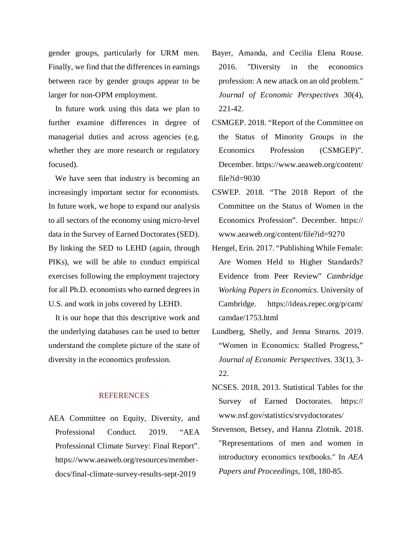gender groups, particularly for URM men. Finally, we find that the differences in earnings between race by gender groups appear to be larger for non-OPM employment.

In future work using this data we plan to further examine differences in degree of managerial duties and across agencies (e.g. whether they are more research or regulatory focused).

We have seen that industry is becoming an increasingly important sector for economists. In future work, we hope to expand our analysis to all sectors of the economy using micro-level data in the Survey of Earned Doctorates (SED). By linking the SED to LEHD (again, through PIKs), we will be able to conduct empirical exercises following the employment trajectory for all Ph.D. economists who earned degrees in U.S. and work in jobs covered by LEHD.

It is our hope that this descriptive work and the underlying databases can be used to better understand the complete picture of the state of diversity in the economics profession.

#### REFERENCES

AEA Committee on Equity, Diversity, and Professional Conduct. 2019. "AEA Professional Climate Survey: Final Report". https://www.aeaweb.org/resources/memberdocs/final-climate-survey-results-sept-2019

- Bayer, Amanda, and Cecilia Elena Rouse. 2016. "Diversity in the economics profession: A new attack on an old problem." *Journal of Economic Perspectives* 30(4), 221-42.
- CSMGEP. 2018. "Report of the Committee on the Status of Minority Groups in the Economics Profession (CSMGEP)". December. https://www.aeaweb.org/content/ file?id=9030
- CSWEP. 2018. "The 2018 Report of the Committee on the Status of Women in the Economics Profession". December. https:// www.aeaweb.org/content/file?id=9270
- Hengel, Erin. 2017. "Publishing While Female: Are Women Held to Higher Standards? Evidence from Peer Review" *Cambridge Working Papers in Economics*. University of Cambridge. https://ideas.repec.org/p/cam/ camdae/1753.html
- Lundberg, Shelly, and Jenna Stearns. 2019. "Women in Economics: Stalled Progress," *Journal of Economic Perspectives*. 33(1), 3- 22.
- NCSES. 2018, 2013. Statistical Tables for the Survey of Earned Doctorates. https:// www.nsf.gov/statistics/srvydoctorates/
- Stevenson, Betsey, and Hanna Zlotnik. 2018. "Representations of men and women in introductory economics textbooks." In *AEA Papers and Proceedings*, 108, 180-85.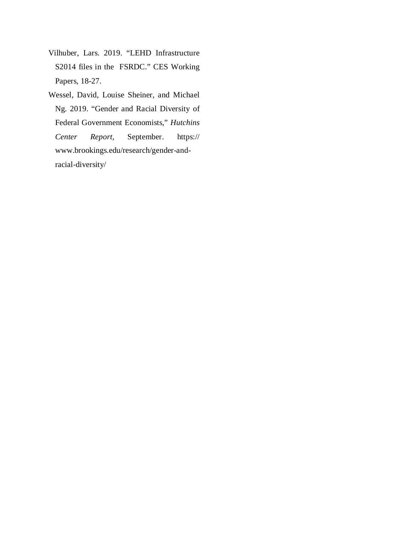- Vilhuber, Lars. 2019. "LEHD Infrastructure S2014 files in the FSRDC." CES Working Papers, 18-27.
- Wessel, David, Louise Sheiner, and Michael Ng. 2019. "Gender and Racial Diversity of Federal Government Economists," *Hutchins Center Report,* September. https:// www.brookings.edu/research/gender-andracial-diversity/